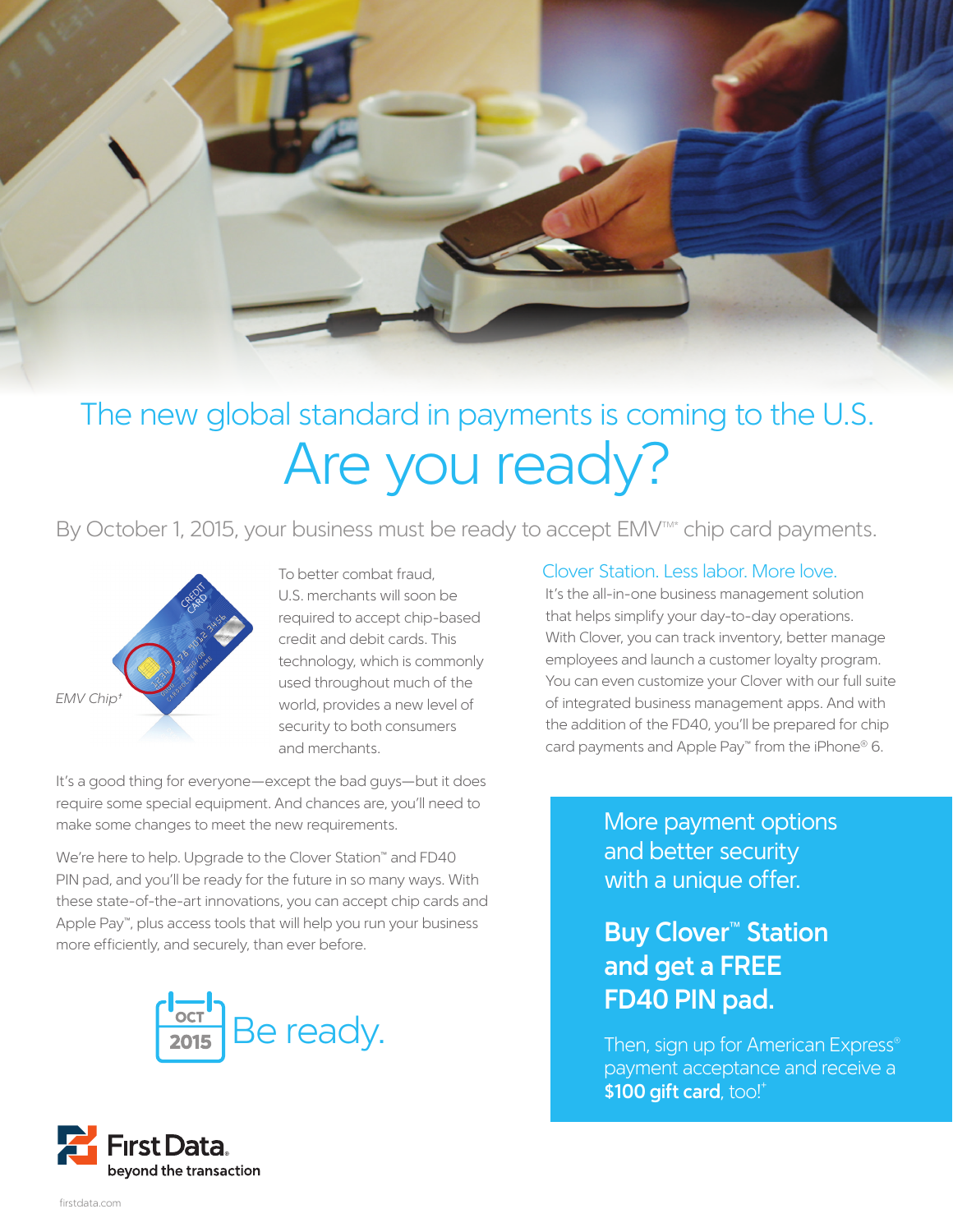

## The new global standard in payments is coming to the U.S. Are you ready?

By October 1, 2015, your business must be ready to accept EMV<sup>TM\*</sup> chip card payments.



To better combat fraud, U.S. merchants will soon be required to accept chip-based credit and debit cards. This technology, which is commonly used throughout much of the world, provides a new level of security to both consumers and merchants.

It's a good thing for everyone—except the bad guys—but it does require some special equipment. And chances are, you'll need to make some changes to meet the new requirements.

We're here to help. Upgrade to the Clover Station™ and FD40 PIN pad, and you'll be ready for the future in so many ways. With these state-of-the-art innovations, you can accept chip cards and Apple Pay™, plus access tools that will help you run your business more efficiently, and securely, than ever before.



### Clover Station. Less labor. More love.

It's the all-in-one business management solution that helps simplify your day-to-day operations. With Clover, you can track inventory, better manage employees and launch a customer loyalty program. You can even customize your Clover with our full suite of integrated business management apps. And with the addition of the FD40, you'll be prepared for chip card payments and Apple Pay™ from the iPhone® 6.

> More payment options and better security with a unique offer.

### **Buy Clover™ Station and get a FREE FD40 PIN pad.**

Then, sign up for American Express<sup>®</sup> payment acceptance and receive a **\$100 gift card**, too!+